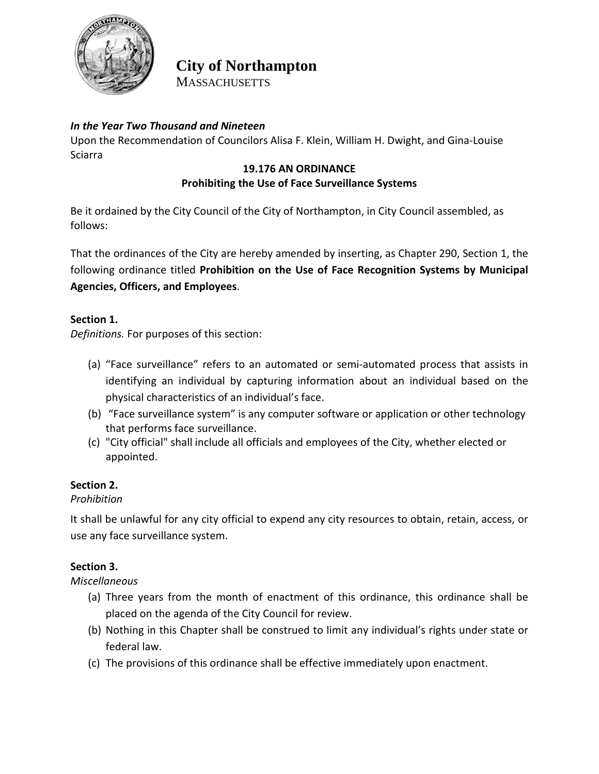

# **City of Northampton MASSACHUSETTS**

## *In the Year Two Thousand and Nineteen*

Upon the Recommendation of Councilors Alisa F. Klein, William H. Dwight, and Gina-Louise Sciarra

## **19.176 AN ORDINANCE Prohibiting the Use of Face Surveillance Systems**

Be it ordained by the City Council of the City of Northampton, in City Council assembled, as follows:

That the ordinances of the City are hereby amended by inserting, as Chapter 290, Section 1, the following ordinance titled **Prohibition on the Use of Face Recognition Systems by Municipal Agencies, Officers, and Employees**.

## **Section 1.**

*Definitions.* For purposes of this section:

- (a) "Face surveillance" refers to an automated or semi-automated process that assists in identifying an individual by capturing information about an individual based on the physical characteristics of an individual's face.
- (b) "Face surveillance system" is any computer software or application or other technology that performs face surveillance.
- (c) "City official" shall include all officials and employees of the City, whether elected or appointed.

## **Section 2.**

## *Prohibition*

It shall be unlawful for any city official to expend any city resources to obtain, retain, access, or use any face surveillance system.

## **Section 3.**

*Miscellaneous*

- (a) Three years from the month of enactment of this ordinance, this ordinance shall be placed on the agenda of the City Council for review.
- (b) Nothing in this Chapter shall be construed to limit any individual's rights under state or federal law.
- (c) The provisions of this ordinance shall be effective immediately upon enactment.